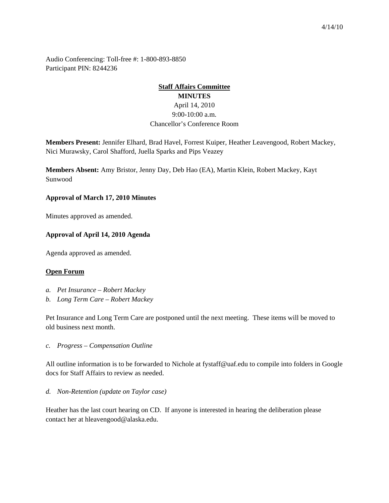Audio Conferencing: Toll-free #: 1-800-893-8850 Participant PIN: 8244236

# **Staff Affairs Committee MINUTES** April 14, 2010 9:00-10:00 a.m. Chancellor's Conference Room

**Members Present:** Jennifer Elhard, Brad Havel, Forrest Kuiper, Heather Leavengood, Robert Mackey, Nici Murawsky, Carol Shafford, Juella Sparks and Pips Veazey

**Members Absent:** Amy Bristor, Jenny Day, Deb Hao (EA), Martin Klein, Robert Mackey, Kayt Sunwood

#### **Approval of March 17, 2010 Minutes**

Minutes approved as amended.

#### **Approval of April 14, 2010 Agenda**

Agenda approved as amended.

#### **Open Forum**

- *a. Pet Insurance – Robert Mackey*
- *b. Long Term Care – Robert Mackey*

Pet Insurance and Long Term Care are postponed until the next meeting. These items will be moved to old business next month.

*c. Progress – Compensation Outline*

All outline information is to be forwarded to Nichole at fystaff@uaf.edu to compile into folders in Google docs for Staff Affairs to review as needed.

*d. Non-Retention (update on Taylor case)*

Heather has the last court hearing on CD. If anyone is interested in hearing the deliberation please contact her at hleavengood@alaska.edu.